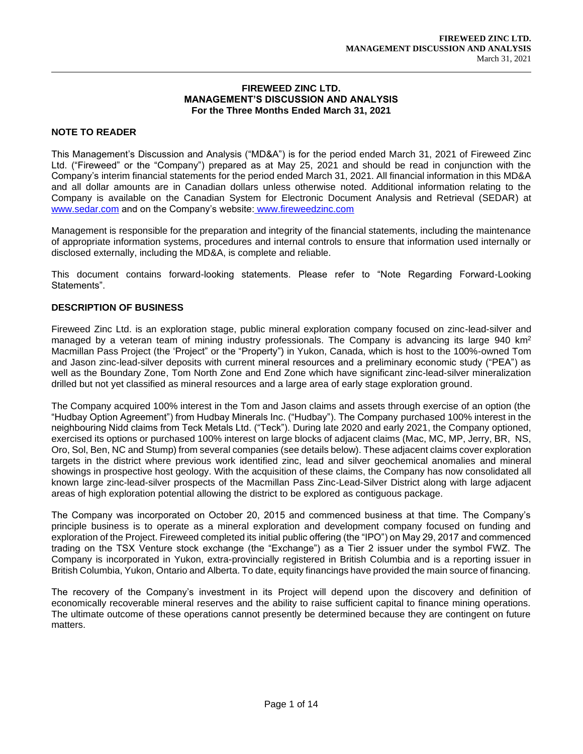#### **FIREWEED ZINC LTD. MANAGEMENT'S DISCUSSION AND ANALYSIS For the Three Months Ended March 31, 2021**

# **NOTE TO READER**

This Management's Discussion and Analysis ("MD&A") is for the period ended March 31, 2021 of Fireweed Zinc Ltd. ("Fireweed" or the "Company") prepared as at May 25, 2021 and should be read in conjunction with the Company's interim financial statements for the period ended March 31, 2021. All financial information in this MD&A and all dollar amounts are in Canadian dollars unless otherwise noted. Additional information relating to the Company is available on the Canadian System for Electronic Document Analysis and Retrieval (SEDAR) at www.sedar.com and on the Company's website: www.fireweedzinc.com

Management is responsible for the preparation and integrity of the financial statements, including the maintenance of appropriate information systems, procedures and internal controls to ensure that information used internally or disclosed externally, including the MD&A, is complete and reliable.

This document contains forward-looking statements. Please refer to "Note Regarding Forward-Looking Statements".

# **DESCRIPTION OF BUSINESS**

Fireweed Zinc Ltd. is an exploration stage, public mineral exploration company focused on zinc-lead-silver and managed by a veteran team of mining industry professionals. The Company is advancing its large 940 km<sup>2</sup> Macmillan Pass Project (the 'Project" or the "Property") in Yukon, Canada, which is host to the 100%-owned Tom and Jason zinc-lead-silver deposits with current mineral resources and a preliminary economic study ("PEA") as well as the Boundary Zone, Tom North Zone and End Zone which have significant zinc-lead-silver mineralization drilled but not yet classified as mineral resources and a large area of early stage exploration ground.

The Company acquired 100% interest in the Tom and Jason claims and assets through exercise of an option (the "Hudbay Option Agreement") from Hudbay Minerals Inc. ("Hudbay"). The Company purchased 100% interest in the neighbouring Nidd claims from Teck Metals Ltd. ("Teck"). During late 2020 and early 2021, the Company optioned, exercised its options or purchased 100% interest on large blocks of adjacent claims (Mac, MC, MP, Jerry, BR, NS, Oro, Sol, Ben, NC and Stump) from several companies (see details below). These adjacent claims cover exploration targets in the district where previous work identified zinc, lead and silver geochemical anomalies and mineral showings in prospective host geology. With the acquisition of these claims, the Company has now consolidated all known large zinc-lead-silver prospects of the Macmillan Pass Zinc-Lead-Silver District along with large adjacent areas of high exploration potential allowing the district to be explored as contiguous package.

The Company was incorporated on October 20, 2015 and commenced business at that time. The Company's principle business is to operate as a mineral exploration and development company focused on funding and exploration of the Project. Fireweed completed its initial public offering (the "IPO") on May 29, 2017 and commenced trading on the TSX Venture stock exchange (the "Exchange") as a Tier 2 issuer under the symbol FWZ. The Company is incorporated in Yukon, extra-provincially registered in British Columbia and is a reporting issuer in British Columbia, Yukon, Ontario and Alberta. To date, equity financings have provided the main source of financing.

The recovery of the Company's investment in its Project will depend upon the discovery and definition of economically recoverable mineral reserves and the ability to raise sufficient capital to finance mining operations. The ultimate outcome of these operations cannot presently be determined because they are contingent on future matters.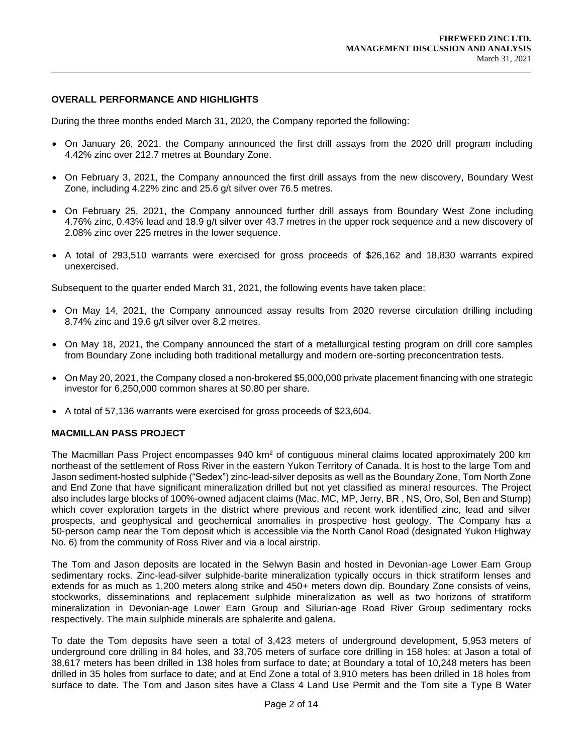# **OVERALL PERFORMANCE AND HIGHLIGHTS**

During the three months ended March 31, 2020, the Company reported the following:

- On January 26, 2021, the Company announced the first drill assays from the 2020 drill program including 4.42% zinc over 212.7 metres at Boundary Zone.
- On February 3, 2021, the Company announced the first drill assays from the new discovery, Boundary West Zone, including 4.22% zinc and 25.6 g/t silver over 76.5 metres.
- On February 25, 2021, the Company announced further drill assays from Boundary West Zone including 4.76% zinc, 0.43% lead and 18.9 g/t silver over 43.7 metres in the upper rock sequence and a new discovery of 2.08% zinc over 225 metres in the lower sequence.
- A total of 293,510 warrants were exercised for gross proceeds of \$26,162 and 18,830 warrants expired unexercised.

Subsequent to the quarter ended March 31, 2021, the following events have taken place:

- On May 14, 2021, the Company announced assay results from 2020 reverse circulation drilling including 8.74% zinc and 19.6 g/t silver over 8.2 metres.
- On May 18, 2021, the Company announced the start of a metallurgical testing program on drill core samples from Boundary Zone including both traditional metallurgy and modern ore-sorting preconcentration tests.
- On May 20, 2021, the Company closed a non-brokered \$5,000,000 private placement financing with one strategic investor for 6,250,000 common shares at \$0.80 per share.
- A total of 57,136 warrants were exercised for gross proceeds of \$23,604.

### **MACMILLAN PASS PROJECT**

The Macmillan Pass Project encompasses 940 km<sup>2</sup> of contiguous mineral claims located approximately 200 km northeast of the settlement of Ross River in the eastern Yukon Territory of Canada. It is host to the large Tom and Jason sediment-hosted sulphide ("Sedex") zinc-lead-silver deposits as well as the Boundary Zone, Tom North Zone and End Zone that have significant mineralization drilled but not yet classified as mineral resources. The Project also includes large blocks of 100%-owned adjacent claims (Mac, MC, MP, Jerry, BR , NS, Oro, Sol, Ben and Stump) which cover exploration targets in the district where previous and recent work identified zinc, lead and silver prospects, and geophysical and geochemical anomalies in prospective host geology. The Company has a 50-person camp near the Tom deposit which is accessible via the North Canol Road (designated Yukon Highway No. 6) from the community of Ross River and via a local airstrip.

The Tom and Jason deposits are located in the Selwyn Basin and hosted in Devonian-age Lower Earn Group sedimentary rocks. Zinc-lead-silver sulphide-barite mineralization typically occurs in thick stratiform lenses and extends for as much as 1,200 meters along strike and 450+ meters down dip. Boundary Zone consists of veins, stockworks, disseminations and replacement sulphide mineralization as well as two horizons of stratiform mineralization in Devonian-age Lower Earn Group and Silurian-age Road River Group sedimentary rocks respectively. The main sulphide minerals are sphalerite and galena.

To date the Tom deposits have seen a total of 3,423 meters of underground development, 5,953 meters of underground core drilling in 84 holes, and 33,705 meters of surface core drilling in 158 holes; at Jason a total of 38,617 meters has been drilled in 138 holes from surface to date; at Boundary a total of 10,248 meters has been drilled in 35 holes from surface to date; and at End Zone a total of 3,910 meters has been drilled in 18 holes from surface to date. The Tom and Jason sites have a Class 4 Land Use Permit and the Tom site a Type B Water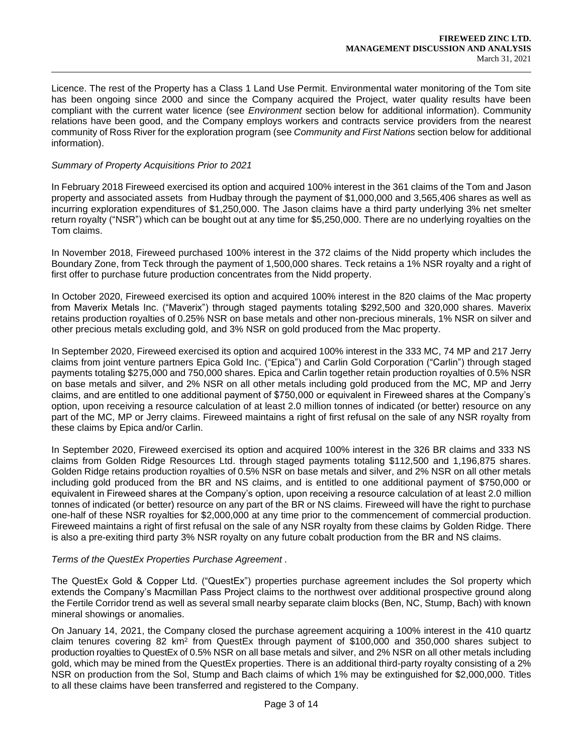Licence. The rest of the Property has a Class 1 Land Use Permit. Environmental water monitoring of the Tom site has been ongoing since 2000 and since the Company acquired the Project, water quality results have been compliant with the current water licence (see *Environment* section below for additional information). Community relations have been good, and the Company employs workers and contracts service providers from the nearest community of Ross River for the exploration program (see *Community and First Nations* section below for additional information).

#### *Summary of Property Acquisitions Prior to 2021*

In February 2018 Fireweed exercised its option and acquired 100% interest in the 361 claims of the Tom and Jason property and associated assets from Hudbay through the payment of \$1,000,000 and 3,565,406 shares as well as incurring exploration expenditures of \$1,250,000. The Jason claims have a third party underlying 3% net smelter return royalty ("NSR") which can be bought out at any time for \$5,250,000. There are no underlying royalties on the Tom claims.

In November 2018, Fireweed purchased 100% interest in the 372 claims of the Nidd property which includes the Boundary Zone, from Teck through the payment of 1,500,000 shares. Teck retains a 1% NSR royalty and a right of first offer to purchase future production concentrates from the Nidd property.

In October 2020, Fireweed exercised its option and acquired 100% interest in the 820 claims of the Mac property from Maverix Metals Inc. ("Maverix") through staged payments totaling \$292,500 and 320,000 shares. Maverix retains production royalties of 0.25% NSR on base metals and other non-precious minerals, 1% NSR on silver and other precious metals excluding gold, and 3% NSR on gold produced from the Mac property.

In September 2020, Fireweed exercised its option and acquired 100% interest in the 333 MC, 74 MP and 217 Jerry claims from joint venture partners Epica Gold Inc. ("Epica") and Carlin Gold Corporation ("Carlin") through staged payments totaling \$275,000 and 750,000 shares. Epica and Carlin together retain production royalties of 0.5% NSR on base metals and silver, and 2% NSR on all other metals including gold produced from the MC, MP and Jerry claims, and are entitled to one additional payment of \$750,000 or equivalent in Fireweed shares at the Company's option, upon receiving a resource calculation of at least 2.0 million tonnes of indicated (or better) resource on any part of the MC, MP or Jerry claims. Fireweed maintains a right of first refusal on the sale of any NSR royalty from these claims by Epica and/or Carlin.

In September 2020, Fireweed exercised its option and acquired 100% interest in the 326 BR claims and 333 NS claims from Golden Ridge Resources Ltd. through staged payments totaling \$112,500 and 1,196,875 shares. Golden Ridge retains production royalties of 0.5% NSR on base metals and silver, and 2% NSR on all other metals including gold produced from the BR and NS claims, and is entitled to one additional payment of \$750,000 or equivalent in Fireweed shares at the Company's option, upon receiving a resource calculation of at least 2.0 million tonnes of indicated (or better) resource on any part of the BR or NS claims. Fireweed will have the right to purchase one-half of these NSR royalties for \$2,000,000 at any time prior to the commencement of commercial production. Fireweed maintains a right of first refusal on the sale of any NSR royalty from these claims by Golden Ridge. There is also a pre-exiting third party 3% NSR royalty on any future cobalt production from the BR and NS claims.

### *Terms of the QuestEx Properties Purchase Agreement .*

The QuestEx Gold & Copper Ltd. ("QuestEx") properties purchase agreement includes the Sol property which extends the Company's Macmillan Pass Project claims to the northwest over additional prospective ground along the Fertile Corridor trend as well as several small nearby separate claim blocks (Ben, NC, Stump, Bach) with known mineral showings or anomalies.

On January 14, 2021, the Company closed the purchase agreement acquiring a 100% interest in the 410 quartz claim tenures covering 82 km<sup>2</sup> from QuestEx through payment of \$100,000 and 350,000 shares subject to production royalties to QuestEx of 0.5% NSR on all base metals and silver, and 2% NSR on all other metals including gold, which may be mined from the QuestEx properties. There is an additional third-party royalty consisting of a 2% NSR on production from the Sol, Stump and Bach claims of which 1% may be extinguished for \$2,000,000. Titles to all these claims have been transferred and registered to the Company.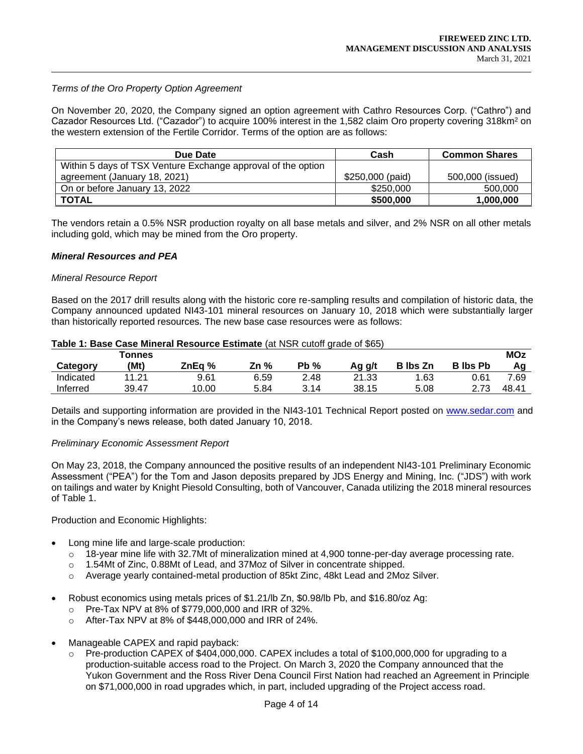### *Terms of the Oro Property Option Agreement*

On November 20, 2020, the Company signed an option agreement with Cathro Resources Corp. ("Cathro") and Cazador Resources Ltd. ("Cazador") to acquire 100% interest in the 1,582 claim Oro property covering 318km<sup>2</sup> on the western extension of the Fertile Corridor. Terms of the option are as follows:

| Due Date                                                     | Cash             | <b>Common Shares</b> |
|--------------------------------------------------------------|------------------|----------------------|
| Within 5 days of TSX Venture Exchange approval of the option |                  |                      |
| agreement (January 18, 2021)                                 | \$250,000 (paid) | 500,000 (issued)     |
| On or before January 13, 2022                                | \$250,000        | 500,000              |
| <b>TOTAL</b>                                                 | \$500,000        | 1,000,000            |

The vendors retain a 0.5% NSR production royalty on all base metals and silver, and 2% NSR on all other metals including gold, which may be mined from the Oro property.

#### *Mineral Resources and PEA*

#### *Mineral Resource Report*

Based on the 2017 drill results along with the historic core re-sampling results and compilation of historic data, the Company announced updated NI43-101 mineral resources on January 10, 2018 which were substantially larger than historically reported resources. The new base case resources were as follows:

|           | <b><sup>T</sup>onnes</b> |        |      |        |        |                 |                 | <b>MOz</b> |
|-----------|--------------------------|--------|------|--------|--------|-----------------|-----------------|------------|
| Category  | (Mt)                     | ZnEa % | Zn % | $Pb\%$ | Ag g/t | <b>B</b> Ibs Zn | <b>B</b> lbs Pb |            |
| Indicated | .21                      | 9.61   | 6.59 | 2.48   | 21.33  | .63             | 0.61            | 7.69       |
| Inferred  | 39.47                    | 10.00  | 5.84 | 3.14   | 38.15  | 5.08            | 2.73            | 48.41      |

#### **Table 1: Base Case Mineral Resource Estimate** (at NSR cutoff grade of \$65)

Details and supporting information are provided in the NI43-101 Technical Report posted on www.sedar.com and in the Company's news release, both dated January 10, 2018.

#### *Preliminary Economic Assessment Report*

On May 23, 2018, the Company announced the positive results of an independent NI43-101 Preliminary Economic Assessment ("PEA") for the Tom and Jason deposits prepared by JDS Energy and Mining, Inc. ("JDS") with work on tailings and water by Knight Piesold Consulting, both of Vancouver, Canada utilizing the 2018 mineral resources of Table 1.

Production and Economic Highlights:

- Long mine life and large-scale production:
	- $\circ$  18-year mine life with 32.7Mt of mineralization mined at 4,900 tonne-per-day average processing rate.
	- o 1.54Mt of Zinc, 0.88Mt of Lead, and 37Moz of Silver in concentrate shipped.
	- o Average yearly contained-metal production of 85kt Zinc, 48kt Lead and 2Moz Silver.
- Robust economics using metals prices of \$1.21/lb Zn, \$0.98/lb Pb, and \$16.80/oz Ag:
	- o Pre-Tax NPV at 8% of \$779,000,000 and IRR of 32%.
	- o After-Tax NPV at 8% of \$448,000,000 and IRR of 24%.
- Manageable CAPEX and rapid payback:
	- $\circ$  Pre-production CAPEX of \$404,000,000. CAPEX includes a total of \$100,000,000 for upgrading to a production-suitable access road to the Project. On March 3, 2020 the Company announced that the Yukon Government and the Ross River Dena Council First Nation had reached an Agreement in Principle on \$71,000,000 in road upgrades which, in part, included upgrading of the Project access road.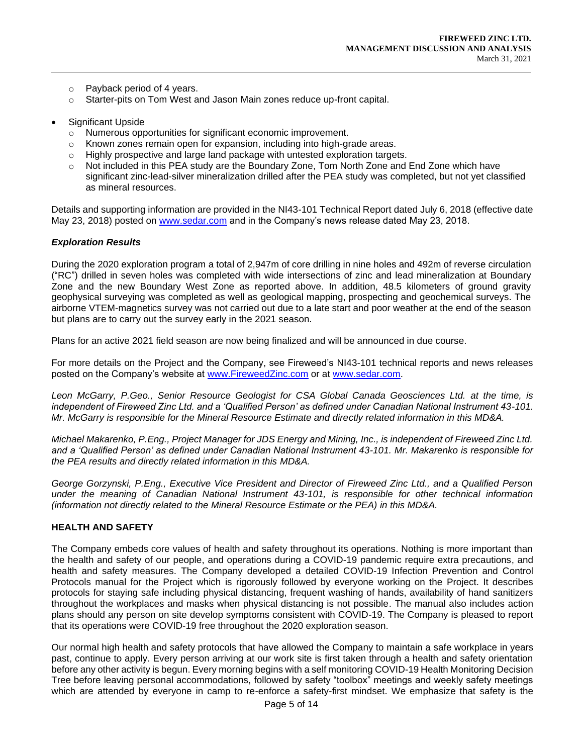- o Payback period of 4 years.
- o Starter-pits on Tom West and Jason Main zones reduce up-front capital.
- Significant Upside
	- o Numerous opportunities for significant economic improvement.
	- o Known zones remain open for expansion, including into high-grade areas.
	- $\circ$  Highly prospective and large land package with untested exploration targets.
	- o Not included in this PEA study are the Boundary Zone, Tom North Zone and End Zone which have significant zinc-lead-silver mineralization drilled after the PEA study was completed, but not yet classified as mineral resources.

Details and supporting information are provided in the NI43-101 Technical Report dated July 6, 2018 (effective date May 23, 2018) posted on www.sedar.com and in the Company's news release dated May 23, 2018.

### *Exploration Results*

During the 2020 exploration program a total of 2,947m of core drilling in nine holes and 492m of reverse circulation ("RC") drilled in seven holes was completed with wide intersections of zinc and lead mineralization at Boundary Zone and the new Boundary West Zone as reported above. In addition, 48.5 kilometers of ground gravity geophysical surveying was completed as well as geological mapping, prospecting and geochemical surveys. The airborne VTEM-magnetics survey was not carried out due to a late start and poor weather at the end of the season but plans are to carry out the survey early in the 2021 season.

Plans for an active 2021 field season are now being finalized and will be announced in due course.

For more details on the Project and the Company, see Fireweed's NI43-101 technical reports and news releases posted on the Company's website at www.FireweedZinc.com or at www.sedar.com.

*Leon McGarry, P.Geo., Senior Resource Geologist for CSA Global Canada Geosciences Ltd. at the time, is independent of Fireweed Zinc Ltd. and a 'Qualified Person' as defined under Canadian National Instrument 43-101. Mr. McGarry is responsible for the Mineral Resource Estimate and directly related information in this MD&A.* 

*Michael Makarenko, P.Eng., Project Manager for JDS Energy and Mining, Inc., is independent of Fireweed Zinc Ltd. and a 'Qualified Person' as defined under Canadian National Instrument 43-101. Mr. Makarenko is responsible for the PEA results and directly related information in this MD&A.*

*George Gorzynski, P.Eng., Executive Vice President and Director of Fireweed Zinc Ltd., and a Qualified Person under the meaning of Canadian National Instrument 43-101, is responsible for other technical information (information not directly related to the Mineral Resource Estimate or the PEA) in this MD&A.*

### **HEALTH AND SAFETY**

The Company embeds core values of health and safety throughout its operations. Nothing is more important than the health and safety of our people, and operations during a COVID-19 pandemic require extra precautions, and health and safety measures. The Company developed a detailed COVID-19 Infection Prevention and Control Protocols manual for the Project which is rigorously followed by everyone working on the Project. It describes protocols for staying safe including physical distancing, frequent washing of hands, availability of hand sanitizers throughout the workplaces and masks when physical distancing is not possible. The manual also includes action plans should any person on site develop symptoms consistent with COVID-19. The Company is pleased to report that its operations were COVID-19 free throughout the 2020 exploration season.

Our normal high health and safety protocols that have allowed the Company to maintain a safe workplace in years past, continue to apply. Every person arriving at our work site is first taken through a health and safety orientation before any other activity is begun. Every morning begins with a self monitoring COVID-19 Health Monitoring Decision Tree before leaving personal accommodations, followed by safety "toolbox" meetings and weekly safety meetings which are attended by everyone in camp to re-enforce a safety-first mindset. We emphasize that safety is the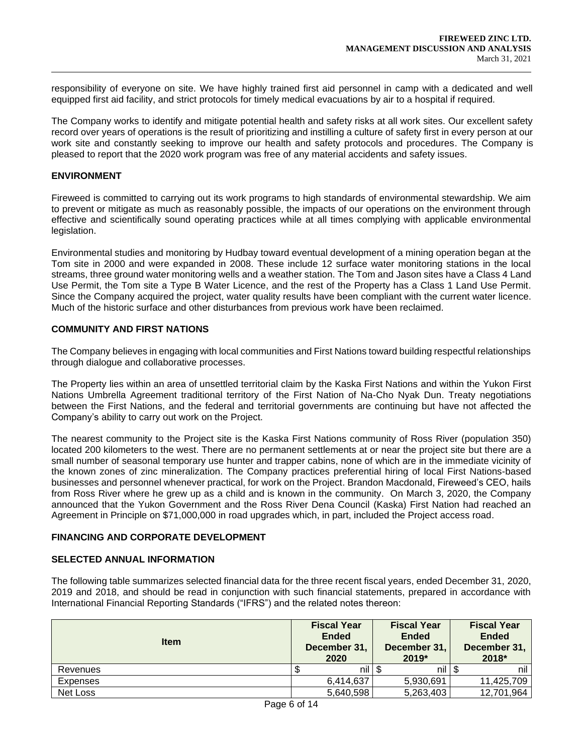responsibility of everyone on site. We have highly trained first aid personnel in camp with a dedicated and well equipped first aid facility, and strict protocols for timely medical evacuations by air to a hospital if required.

The Company works to identify and mitigate potential health and safety risks at all work sites. Our excellent safety record over years of operations is the result of prioritizing and instilling a culture of safety first in every person at our work site and constantly seeking to improve our health and safety protocols and procedures. The Company is pleased to report that the 2020 work program was free of any material accidents and safety issues.

## **ENVIRONMENT**

Fireweed is committed to carrying out its work programs to high standards of environmental stewardship. We aim to prevent or mitigate as much as reasonably possible, the impacts of our operations on the environment through effective and scientifically sound operating practices while at all times complying with applicable environmental legislation.

Environmental studies and monitoring by Hudbay toward eventual development of a mining operation began at the Tom site in 2000 and were expanded in 2008. These include 12 surface water monitoring stations in the local streams, three ground water monitoring wells and a weather station. The Tom and Jason sites have a Class 4 Land Use Permit, the Tom site a Type B Water Licence, and the rest of the Property has a Class 1 Land Use Permit. Since the Company acquired the project, water quality results have been compliant with the current water licence. Much of the historic surface and other disturbances from previous work have been reclaimed.

# **COMMUNITY AND FIRST NATIONS**

The Company believes in engaging with local communities and First Nations toward building respectful relationships through dialogue and collaborative processes.

The Property lies within an area of unsettled territorial claim by the Kaska First Nations and within the Yukon First Nations Umbrella Agreement traditional territory of the First Nation of Na-Cho Nyak Dun. Treaty negotiations between the First Nations, and the federal and territorial governments are continuing but have not affected the Company's ability to carry out work on the Project.

The nearest community to the Project site is the Kaska First Nations community of Ross River (population 350) located 200 kilometers to the west. There are no permanent settlements at or near the project site but there are a small number of seasonal temporary use hunter and trapper cabins, none of which are in the immediate vicinity of the known zones of zinc mineralization. The Company practices preferential hiring of local First Nations-based businesses and personnel whenever practical, for work on the Project. Brandon Macdonald, Fireweed's CEO, hails from Ross River where he grew up as a child and is known in the community. On March 3, 2020, the Company announced that the Yukon Government and the Ross River Dena Council (Kaska) First Nation had reached an Agreement in Principle on \$71,000,000 in road upgrades which, in part, included the Project access road.

### **FINANCING AND CORPORATE DEVELOPMENT**

### **SELECTED ANNUAL INFORMATION**

The following table summarizes selected financial data for the three recent fiscal years, ended December 31, 2020, 2019 and 2018, and should be read in conjunction with such financial statements, prepared in accordance with International Financial Reporting Standards ("IFRS") and the related notes thereon:

| <b>Item</b> | <b>Fiscal Year</b><br><b>Ended</b><br>December 31,<br>2020 | <b>Fiscal Year</b><br><b>Ended</b><br>December 31,<br>2019* | <b>Fiscal Year</b><br><b>Ended</b><br>December 31,<br>2018* |  |
|-------------|------------------------------------------------------------|-------------------------------------------------------------|-------------------------------------------------------------|--|
| Revenues    | nil                                                        | nil                                                         | nil                                                         |  |
| Expenses    | 6,414,637                                                  | 5,930,691                                                   | 11,425,709                                                  |  |
| Net Loss    | 5,640,598                                                  | 5,263,403                                                   | 12,701,964                                                  |  |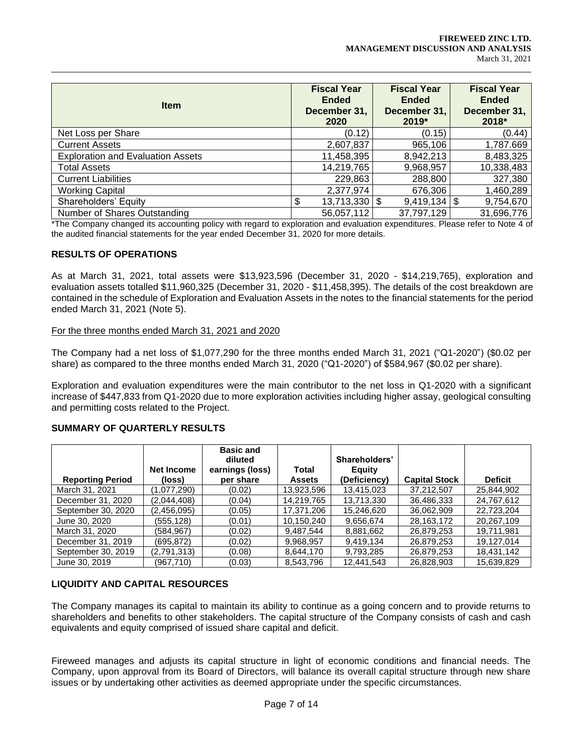| <b>Item</b>                              | <b>Fiscal Year</b><br><b>Ended</b><br>December 31,<br>2020 | <b>Fiscal Year</b><br><b>Ended</b><br>December 31,<br>$2019*$ | <b>Fiscal Year</b><br><b>Ended</b><br>December 31,<br>2018* |
|------------------------------------------|------------------------------------------------------------|---------------------------------------------------------------|-------------------------------------------------------------|
| Net Loss per Share                       | (0.12)                                                     | (0.15)                                                        | (0.44)                                                      |
| <b>Current Assets</b>                    | 2,607,837                                                  | 965,106                                                       | 1,787.669                                                   |
| <b>Exploration and Evaluation Assets</b> | 11,458,395                                                 | 8,942,213                                                     | 8,483,325                                                   |
| <b>Total Assets</b>                      | 14,219,765                                                 | 9,968,957                                                     | 10,338,483                                                  |
| <b>Current Liabilities</b>               | 229,863                                                    | 288,800                                                       | 327,380                                                     |
| <b>Working Capital</b>                   | 2,377,974                                                  | 676,306                                                       | 1,460,289                                                   |
| Shareholders' Equity                     | $13,713,330$ \\$<br>\$                                     | $9,419,134$ \\$                                               | 9,754,670                                                   |
| Number of Shares Outstanding             | 56,057,112                                                 | 37,797,129                                                    | 31,696,776                                                  |

\*The Company changed its accounting policy with regard to exploration and evaluation expenditures. Please refer to Note 4 of the audited financial statements for the year ended December 31, 2020 for more details.

### **RESULTS OF OPERATIONS**

As at March 31, 2021, total assets were \$13,923,596 (December 31, 2020 - \$14,219,765), exploration and evaluation assets totalled \$11,960,325 (December 31, 2020 - \$11,458,395). The details of the cost breakdown are contained in the schedule of Exploration and Evaluation Assets in the notes to the financial statements for the period ended March 31, 2021 (Note 5).

#### For the three months ended March 31, 2021 and 2020

The Company had a net loss of \$1,077,290 for the three months ended March 31, 2021 ("Q1-2020") (\$0.02 per share) as compared to the three months ended March 31, 2020 ("Q1-2020") of \$584,967 (\$0.02 per share).

Exploration and evaluation expenditures were the main contributor to the net loss in Q1-2020 with a significant increase of \$447,833 from Q1-2020 due to more exploration activities including higher assay, geological consulting and permitting costs related to the Project.

### **SUMMARY OF QUARTERLY RESULTS**

| <b>Reporting Period</b> | Net Income<br>(loss) | <b>Basic and</b><br>diluted<br>earnings (loss)<br>per share | Total<br><b>Assets</b> | Shareholders'<br><b>Equity</b><br>(Deficiency) | <b>Capital Stock</b> | <b>Deficit</b> |
|-------------------------|----------------------|-------------------------------------------------------------|------------------------|------------------------------------------------|----------------------|----------------|
| March 31, 2021          | (1,077,290)          | (0.02)                                                      | 13,923,596             | 13,415,023                                     | 37.212.507           | 25.844.902     |
| December 31, 2020       | (2,044,408)          | (0.04)                                                      | 14,219,765             | 13.713.330                                     | 36,486,333           | 24,767,612     |
| September 30, 2020      | (2.456.095)          | (0.05)                                                      | 17.371.206             | 15.246.620                                     | 36.062.909           | 22.723.204     |
| June 30, 2020           | (555,128)            | (0.01)                                                      | 10,150,240             | 9,656,674                                      | 28,163,172           | 20,267,109     |
| March 31, 2020          | (584.967)            | (0.02)                                                      | 9.487.544              | 8.881.662                                      | 26.879.253           | 19.711.981     |
| December 31, 2019       | (695,872)            | (0.02)                                                      | 9,968,957              | 9,419,134                                      | 26,879,253           | 19,127,014     |
| September 30, 2019      | (2,791,313)          | (0.08)                                                      | 8.644.170              | 9,793,285                                      | 26,879,253           | 18,431,142     |
| June 30, 2019           | (967,710)            | (0.03)                                                      | 8,543,796              | 12,441,543                                     | 26.828.903           | 15,639,829     |

### **LIQUIDITY AND CAPITAL RESOURCES**

The Company manages its capital to maintain its ability to continue as a going concern and to provide returns to shareholders and benefits to other stakeholders. The capital structure of the Company consists of cash and cash equivalents and equity comprised of issued share capital and deficit.

Fireweed manages and adjusts its capital structure in light of economic conditions and financial needs. The Company, upon approval from its Board of Directors, will balance its overall capital structure through new share issues or by undertaking other activities as deemed appropriate under the specific circumstances.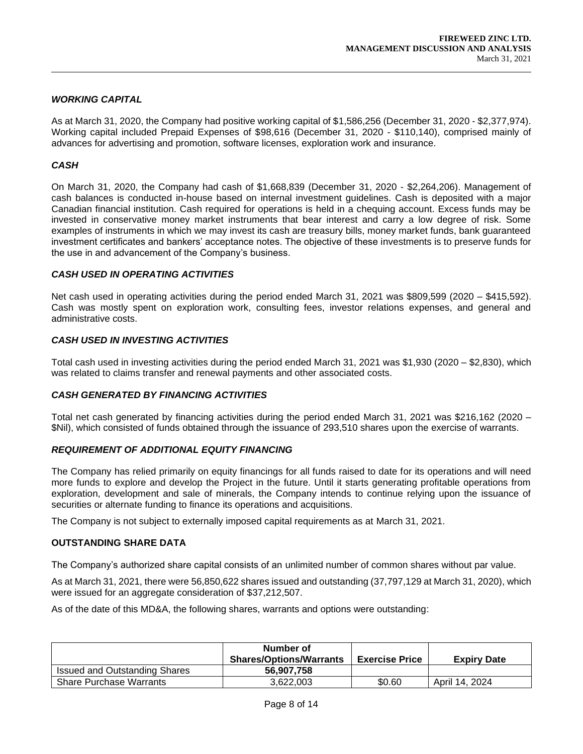# *WORKING CAPITAL*

As at March 31, 2020, the Company had positive working capital of \$1,586,256 (December 31, 2020 - \$2,377,974). Working capital included Prepaid Expenses of \$98,616 (December 31, 2020 - \$110,140), comprised mainly of advances for advertising and promotion, software licenses, exploration work and insurance.

# *CASH*

On March 31, 2020, the Company had cash of \$1,668,839 (December 31, 2020 - \$2,264,206). Management of cash balances is conducted in-house based on internal investment guidelines. Cash is deposited with a major Canadian financial institution. Cash required for operations is held in a chequing account. Excess funds may be invested in conservative money market instruments that bear interest and carry a low degree of risk. Some examples of instruments in which we may invest its cash are treasury bills, money market funds, bank guaranteed investment certificates and bankers' acceptance notes. The objective of these investments is to preserve funds for the use in and advancement of the Company's business.

# *CASH USED IN OPERATING ACTIVITIES*

Net cash used in operating activities during the period ended March 31, 2021 was \$809,599 (2020 – \$415,592). Cash was mostly spent on exploration work, consulting fees, investor relations expenses, and general and administrative costs.

# *CASH USED IN INVESTING ACTIVITIES*

Total cash used in investing activities during the period ended March 31, 2021 was \$1,930 (2020 – \$2,830), which was related to claims transfer and renewal payments and other associated costs.

### *CASH GENERATED BY FINANCING ACTIVITIES*

Total net cash generated by financing activities during the period ended March 31, 2021 was \$216,162 (2020 – \$Nil), which consisted of funds obtained through the issuance of 293,510 shares upon the exercise of warrants.

### *REQUIREMENT OF ADDITIONAL EQUITY FINANCING*

The Company has relied primarily on equity financings for all funds raised to date for its operations and will need more funds to explore and develop the Project in the future. Until it starts generating profitable operations from exploration, development and sale of minerals, the Company intends to continue relying upon the issuance of securities or alternate funding to finance its operations and acquisitions.

The Company is not subject to externally imposed capital requirements as at March 31, 2021.

### **OUTSTANDING SHARE DATA**

The Company's authorized share capital consists of an unlimited number of common shares without par value.

As at March 31, 2021, there were 56,850,622 shares issued and outstanding (37,797,129 at March 31, 2020), which were issued for an aggregate consideration of \$37,212,507.

As of the date of this MD&A, the following shares, warrants and options were outstanding:

|                                      | Number of<br><b>Shares/Options/Warrants</b> | <b>Exercise Price</b> | <b>Expiry Date</b> |
|--------------------------------------|---------------------------------------------|-----------------------|--------------------|
| <b>Issued and Outstanding Shares</b> | 56.907.758                                  |                       |                    |
| <b>Share Purchase Warrants</b>       | 3.622.003                                   | \$0.60                | April 14, 2024     |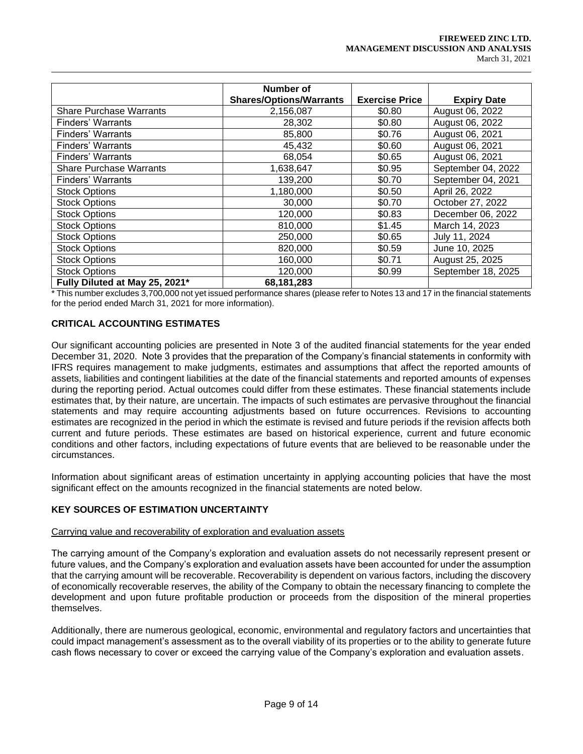#### **FIREWEED ZINC LTD. MANAGEMENT DISCUSSION AND ANALYSIS** March 31, 2021

|                                | Number of                      |                       |                    |
|--------------------------------|--------------------------------|-----------------------|--------------------|
|                                | <b>Shares/Options/Warrants</b> | <b>Exercise Price</b> | <b>Expiry Date</b> |
| <b>Share Purchase Warrants</b> | 2,156,087                      | \$0.80                | August 06, 2022    |
| Finders' Warrants              | 28,302                         | \$0.80                | August 06, 2022    |
| Finders' Warrants              | 85,800                         | \$0.76                | August 06, 2021    |
| <b>Finders' Warrants</b>       | 45,432                         | \$0.60                | August 06, 2021    |
| <b>Finders' Warrants</b>       | 68,054                         | \$0.65                | August 06, 2021    |
| <b>Share Purchase Warrants</b> | 1,638,647                      | \$0.95                | September 04, 2022 |
| Finders' Warrants              | 139,200                        | \$0.70                | September 04, 2021 |
| <b>Stock Options</b>           | 1,180,000                      | \$0.50                | April 26, 2022     |
| <b>Stock Options</b>           | 30,000                         | \$0.70                | October 27, 2022   |
| <b>Stock Options</b>           | 120,000                        | \$0.83                | December 06, 2022  |
| <b>Stock Options</b>           | 810,000                        | \$1.45                | March 14, 2023     |
| <b>Stock Options</b>           | 250,000                        | \$0.65                | July 11, 2024      |
| <b>Stock Options</b>           | 820,000                        | \$0.59                | June 10, 2025      |
| <b>Stock Options</b>           | 160,000                        | \$0.71                | August 25, 2025    |
| <b>Stock Options</b>           | 120,000                        | \$0.99                | September 18, 2025 |
| Fully Diluted at May 25, 2021* | 68,181,283                     |                       |                    |

\* This number excludes 3,700,000 not yet issued performance shares (please refer to Notes 13 and 17 in the financial statements for the period ended March 31, 2021 for more information).

# **CRITICAL ACCOUNTING ESTIMATES**

Our significant accounting policies are presented in Note 3 of the audited financial statements for the year ended December 31, 2020. Note 3 provides that the preparation of the Company's financial statements in conformity with IFRS requires management to make judgments, estimates and assumptions that affect the reported amounts of assets, liabilities and contingent liabilities at the date of the financial statements and reported amounts of expenses during the reporting period. Actual outcomes could differ from these estimates. These financial statements include estimates that, by their nature, are uncertain. The impacts of such estimates are pervasive throughout the financial statements and may require accounting adjustments based on future occurrences. Revisions to accounting estimates are recognized in the period in which the estimate is revised and future periods if the revision affects both current and future periods. These estimates are based on historical experience, current and future economic conditions and other factors, including expectations of future events that are believed to be reasonable under the circumstances.

Information about significant areas of estimation uncertainty in applying accounting policies that have the most significant effect on the amounts recognized in the financial statements are noted below.

### **KEY SOURCES OF ESTIMATION UNCERTAINTY**

### Carrying value and recoverability of exploration and evaluation assets

The carrying amount of the Company's exploration and evaluation assets do not necessarily represent present or future values, and the Company's exploration and evaluation assets have been accounted for under the assumption that the carrying amount will be recoverable. Recoverability is dependent on various factors, including the discovery of economically recoverable reserves, the ability of the Company to obtain the necessary financing to complete the development and upon future profitable production or proceeds from the disposition of the mineral properties themselves.

Additionally, there are numerous geological, economic, environmental and regulatory factors and uncertainties that could impact management's assessment as to the overall viability of its properties or to the ability to generate future cash flows necessary to cover or exceed the carrying value of the Company's exploration and evaluation assets.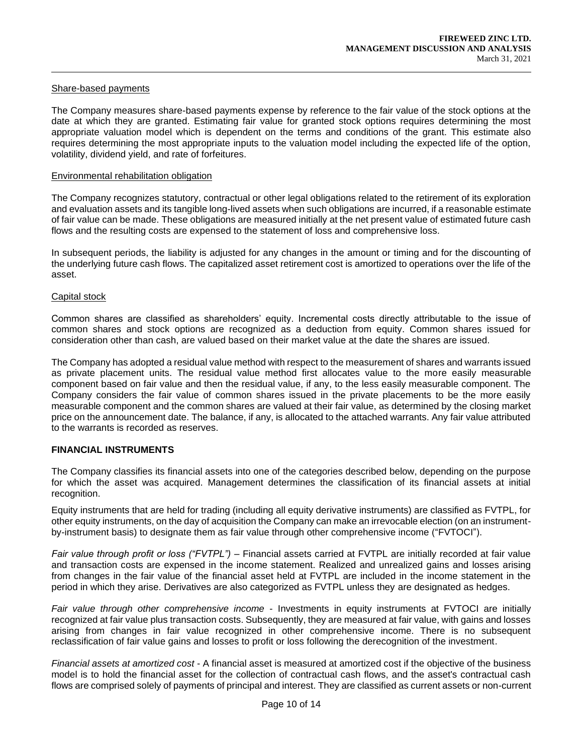### Share-based payments

The Company measures share-based payments expense by reference to the fair value of the stock options at the date at which they are granted. Estimating fair value for granted stock options requires determining the most appropriate valuation model which is dependent on the terms and conditions of the grant. This estimate also requires determining the most appropriate inputs to the valuation model including the expected life of the option, volatility, dividend yield, and rate of forfeitures.

#### Environmental rehabilitation obligation

The Company recognizes statutory, contractual or other legal obligations related to the retirement of its exploration and evaluation assets and its tangible long-lived assets when such obligations are incurred, if a reasonable estimate of fair value can be made. These obligations are measured initially at the net present value of estimated future cash flows and the resulting costs are expensed to the statement of loss and comprehensive loss.

In subsequent periods, the liability is adjusted for any changes in the amount or timing and for the discounting of the underlying future cash flows. The capitalized asset retirement cost is amortized to operations over the life of the asset.

#### Capital stock

Common shares are classified as shareholders' equity. Incremental costs directly attributable to the issue of common shares and stock options are recognized as a deduction from equity. Common shares issued for consideration other than cash, are valued based on their market value at the date the shares are issued.

The Company has adopted a residual value method with respect to the measurement of shares and warrants issued as private placement units. The residual value method first allocates value to the more easily measurable component based on fair value and then the residual value, if any, to the less easily measurable component. The Company considers the fair value of common shares issued in the private placements to be the more easily measurable component and the common shares are valued at their fair value, as determined by the closing market price on the announcement date. The balance, if any, is allocated to the attached warrants. Any fair value attributed to the warrants is recorded as reserves.

#### **FINANCIAL INSTRUMENTS**

The Company classifies its financial assets into one of the categories described below, depending on the purpose for which the asset was acquired. Management determines the classification of its financial assets at initial recognition.

Equity instruments that are held for trading (including all equity derivative instruments) are classified as FVTPL, for other equity instruments, on the day of acquisition the Company can make an irrevocable election (on an instrumentby-instrument basis) to designate them as fair value through other comprehensive income ("FVTOCI").

*Fair value through profit or loss ("FVTPL")* – Financial assets carried at FVTPL are initially recorded at fair value and transaction costs are expensed in the income statement. Realized and unrealized gains and losses arising from changes in the fair value of the financial asset held at FVTPL are included in the income statement in the period in which they arise. Derivatives are also categorized as FVTPL unless they are designated as hedges.

*Fair value through other comprehensive income* - Investments in equity instruments at FVTOCI are initially recognized at fair value plus transaction costs. Subsequently, they are measured at fair value, with gains and losses arising from changes in fair value recognized in other comprehensive income. There is no subsequent reclassification of fair value gains and losses to profit or loss following the derecognition of the investment.

*Financial assets at amortized cost* - A financial asset is measured at amortized cost if the objective of the business model is to hold the financial asset for the collection of contractual cash flows, and the asset's contractual cash flows are comprised solely of payments of principal and interest. They are classified as current assets or non-current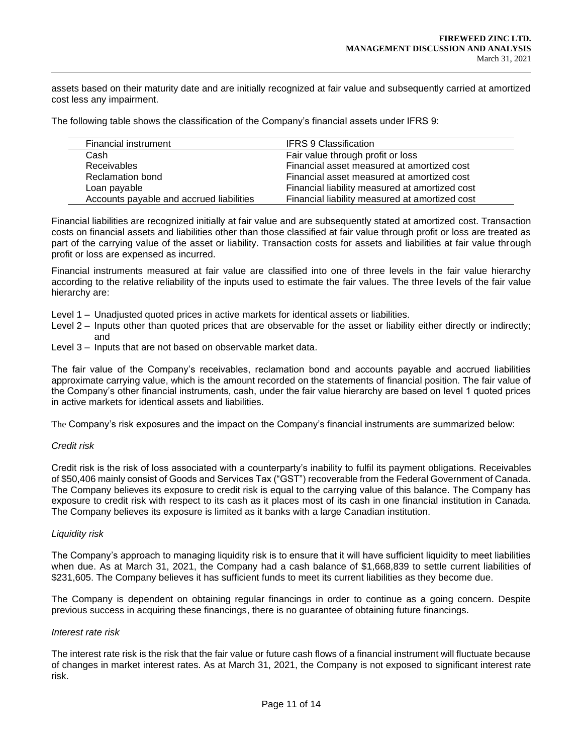assets based on their maturity date and are initially recognized at fair value and subsequently carried at amortized cost less any impairment.

The following table shows the classification of the Company's financial assets under IFRS 9:

| Financial instrument                     | <b>IFRS 9 Classification</b>                   |
|------------------------------------------|------------------------------------------------|
| Cash                                     | Fair value through profit or loss              |
| <b>Receivables</b>                       | Financial asset measured at amortized cost     |
| <b>Reclamation bond</b>                  | Financial asset measured at amortized cost     |
| Loan payable                             | Financial liability measured at amortized cost |
| Accounts payable and accrued liabilities | Financial liability measured at amortized cost |

Financial liabilities are recognized initially at fair value and are subsequently stated at amortized cost. Transaction costs on financial assets and liabilities other than those classified at fair value through profit or loss are treated as part of the carrying value of the asset or liability. Transaction costs for assets and liabilities at fair value through profit or loss are expensed as incurred.

Financial instruments measured at fair value are classified into one of three levels in the fair value hierarchy according to the relative reliability of the inputs used to estimate the fair values. The three levels of the fair value hierarchy are:

- Level 1 Unadjusted quoted prices in active markets for identical assets or liabilities.
- Level 2 Inputs other than quoted prices that are observable for the asset or liability either directly or indirectly; and
- Level 3 Inputs that are not based on observable market data.

The fair value of the Company's receivables, reclamation bond and accounts payable and accrued liabilities approximate carrying value, which is the amount recorded on the statements of financial position. The fair value of the Company's other financial instruments, cash, under the fair value hierarchy are based on level 1 quoted prices in active markets for identical assets and liabilities.

The Company's risk exposures and the impact on the Company's financial instruments are summarized below:

### *Credit risk*

Credit risk is the risk of loss associated with a counterparty's inability to fulfil its payment obligations. Receivables of \$50,406 mainly consist of Goods and Services Tax ("GST") recoverable from the Federal Government of Canada. The Company believes its exposure to credit risk is equal to the carrying value of this balance. The Company has exposure to credit risk with respect to its cash as it places most of its cash in one financial institution in Canada. The Company believes its exposure is limited as it banks with a large Canadian institution.

### *Liquidity risk*

The Company's approach to managing liquidity risk is to ensure that it will have sufficient liquidity to meet liabilities when due. As at March 31, 2021, the Company had a cash balance of \$1,668,839 to settle current liabilities of \$231,605. The Company believes it has sufficient funds to meet its current liabilities as they become due.

The Company is dependent on obtaining regular financings in order to continue as a going concern. Despite previous success in acquiring these financings, there is no guarantee of obtaining future financings.

#### *Interest rate risk*

The interest rate risk is the risk that the fair value or future cash flows of a financial instrument will fluctuate because of changes in market interest rates. As at March 31, 2021, the Company is not exposed to significant interest rate risk.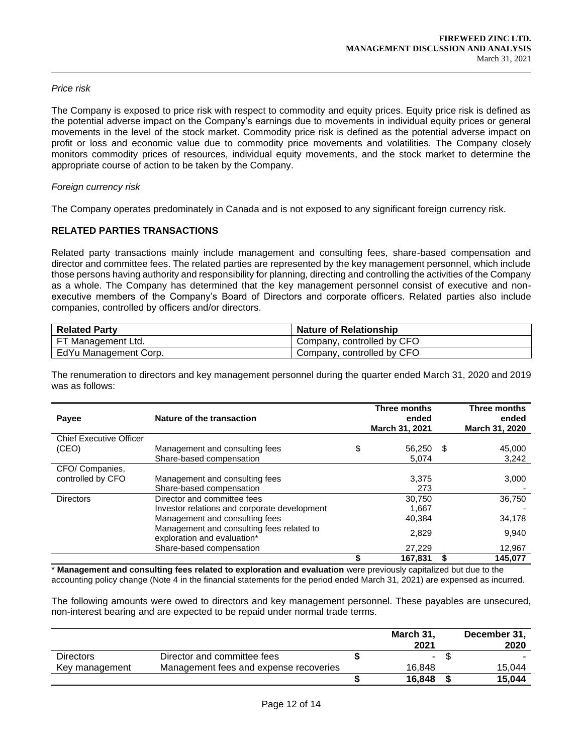# *Price risk*

The Company is exposed to price risk with respect to commodity and equity prices. Equity price risk is defined as the potential adverse impact on the Company's earnings due to movements in individual equity prices or general movements in the level of the stock market. Commodity price risk is defined as the potential adverse impact on profit or loss and economic value due to commodity price movements and volatilities. The Company closely monitors commodity prices of resources, individual equity movements, and the stock market to determine the appropriate course of action to be taken by the Company.

## *Foreign currency risk*

The Company operates predominately in Canada and is not exposed to any significant foreign currency risk.

# **RELATED PARTIES TRANSACTIONS**

Related party transactions mainly include management and consulting fees, share-based compensation and director and committee fees. The related parties are represented by the key management personnel, which include those persons having authority and responsibility for planning, directing and controlling the activities of the Company as a whole. The Company has determined that the key management personnel consist of executive and nonexecutive members of the Company's Board of Directors and corporate officers. Related parties also include companies, controlled by officers and/or directors.

| <b>Related Party</b>      | <b>Nature of Relationship</b> |
|---------------------------|-------------------------------|
| <b>FT Management Ltd.</b> | Company, controlled by CFO    |
| EdYu Management Corp.     | Company, controlled by CFO    |

The renumeration to directors and key management personnel during the quarter ended March 31, 2020 and 2019 was as follows:

| Payee                          | Nature of the transaction                                                | Three months<br>ended<br>March 31, 2021 | Three months<br>ended<br>March 31, 2020 |
|--------------------------------|--------------------------------------------------------------------------|-----------------------------------------|-----------------------------------------|
| <b>Chief Executive Officer</b> |                                                                          |                                         |                                         |
| (CEO)                          | Management and consulting fees                                           | \$<br>56,250 \$                         | 45,000                                  |
|                                | Share-based compensation                                                 | 5,074                                   | 3,242                                   |
| CFO/Companies.                 |                                                                          |                                         |                                         |
| controlled by CFO              | Management and consulting fees                                           | 3,375                                   | 3,000                                   |
|                                | Share-based compensation                                                 | 273                                     |                                         |
| <b>Directors</b>               | Director and committee fees                                              | 30.750                                  | 36,750                                  |
|                                | Investor relations and corporate development                             | 1.667                                   |                                         |
|                                | Management and consulting fees                                           | 40.384                                  | 34,178                                  |
|                                | Management and consulting fees related to<br>exploration and evaluation* | 2,829                                   | 9,940                                   |
|                                | Share-based compensation                                                 | 27,229                                  | 12,967                                  |
|                                |                                                                          | 167,831                                 | 145.077                                 |

\* **Management and consulting fees related to exploration and evaluation** were previously capitalized but due to the accounting policy change (Note 4 in the financial statements for the period ended March 31, 2021) are expensed as incurred.

The following amounts were owed to directors and key management personnel. These payables are unsecured, non-interest bearing and are expected to be repaid under normal trade terms.

|                  |                                        | March 31, | December 31, |
|------------------|----------------------------------------|-----------|--------------|
|                  |                                        | 2021      | 2020         |
| <b>Directors</b> | Director and committee fees            | -         |              |
| Key management   | Management fees and expense recoveries | 16.848    | 15.044       |
|                  |                                        | 16.848    | 15.044       |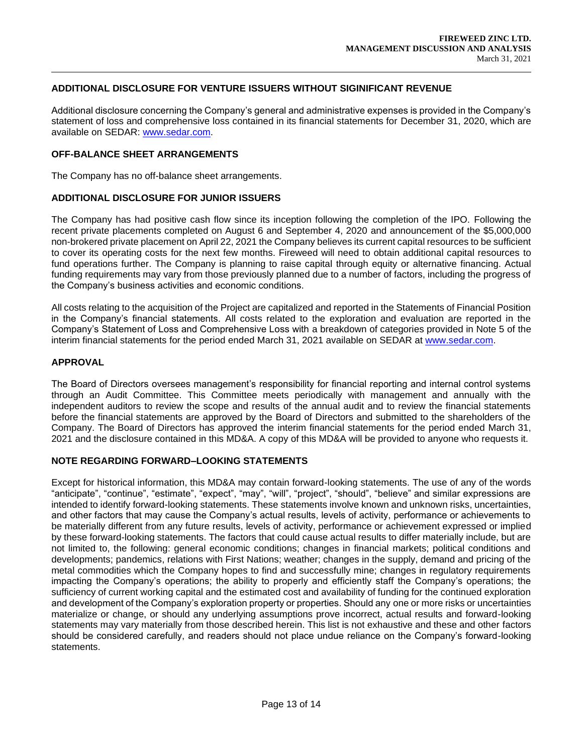# **ADDITIONAL DISCLOSURE FOR VENTURE ISSUERS WITHOUT SIGINIFICANT REVENUE**

Additional disclosure concerning the Company's general and administrative expenses is provided in the Company's statement of loss and comprehensive loss contained in its financial statements for December 31, 2020, which are available on SEDAR: www.sedar.com.

### **OFF-BALANCE SHEET ARRANGEMENTS**

The Company has no off-balance sheet arrangements.

#### **ADDITIONAL DISCLOSURE FOR JUNIOR ISSUERS**

The Company has had positive cash flow since its inception following the completion of the IPO. Following the recent private placements completed on August 6 and September 4, 2020 and announcement of the \$5,000,000 non-brokered private placement on April 22, 2021 the Company believes its current capital resources to be sufficient to cover its operating costs for the next few months. Fireweed will need to obtain additional capital resources to fund operations further. The Company is planning to raise capital through equity or alternative financing. Actual funding requirements may vary from those previously planned due to a number of factors, including the progress of the Company's business activities and economic conditions.

All costs relating to the acquisition of the Project are capitalized and reported in the Statements of Financial Position in the Company's financial statements. All costs related to the exploration and evaluation are reported in the Company's Statement of Loss and Comprehensive Loss with a breakdown of categories provided in Note 5 of the interim financial statements for the period ended March 31, 2021 available on SEDAR at www.sedar.com.

#### **APPROVAL**

The Board of Directors oversees management's responsibility for financial reporting and internal control systems through an Audit Committee. This Committee meets periodically with management and annually with the independent auditors to review the scope and results of the annual audit and to review the financial statements before the financial statements are approved by the Board of Directors and submitted to the shareholders of the Company. The Board of Directors has approved the interim financial statements for the period ended March 31, 2021 and the disclosure contained in this MD&A. A copy of this MD&A will be provided to anyone who requests it.

#### **NOTE REGARDING FORWARD–LOOKING STATEMENTS**

Except for historical information, this MD&A may contain forward-looking statements. The use of any of the words "anticipate", "continue", "estimate", "expect", "may", "will", "project", "should", "believe" and similar expressions are intended to identify forward-looking statements. These statements involve known and unknown risks, uncertainties, and other factors that may cause the Company's actual results, levels of activity, performance or achievements to be materially different from any future results, levels of activity, performance or achievement expressed or implied by these forward-looking statements. The factors that could cause actual results to differ materially include, but are not limited to, the following: general economic conditions; changes in financial markets; political conditions and developments; pandemics, relations with First Nations; weather; changes in the supply, demand and pricing of the metal commodities which the Company hopes to find and successfully mine; changes in regulatory requirements impacting the Company's operations; the ability to properly and efficiently staff the Company's operations; the sufficiency of current working capital and the estimated cost and availability of funding for the continued exploration and development of the Company's exploration property or properties. Should any one or more risks or uncertainties materialize or change, or should any underlying assumptions prove incorrect, actual results and forward-looking statements may vary materially from those described herein. This list is not exhaustive and these and other factors should be considered carefully, and readers should not place undue reliance on the Company's forward-looking statements.